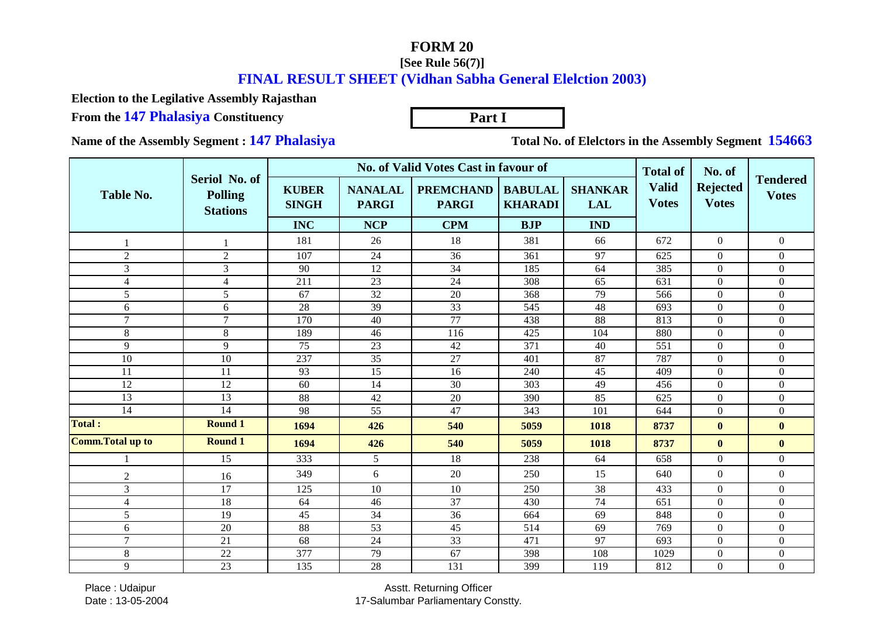## **FORM 20**

## **[See Rule 56(7)]**

## **FINAL RESULT SHEET (Vidhan Sabha General Elelction 2003)**

**Election to the Legilative Assembly Rajasthan**

**From the 147 Phalasiya** Constituency **Part I** 

**Name of the Assembly Segment : 147 Phalasiya**

**Total No. of Elelctors in the Assembly Segment <sup>154663</sup>**

|                          |                                                    | No. of Valid Votes Cast in favour of |                                |                                  |                                  |                              |                              | No. of                          |                                 |
|--------------------------|----------------------------------------------------|--------------------------------------|--------------------------------|----------------------------------|----------------------------------|------------------------------|------------------------------|---------------------------------|---------------------------------|
| <b>Table No.</b>         | Seriol No. of<br><b>Polling</b><br><b>Stations</b> | <b>KUBER</b><br><b>SINGH</b>         | <b>NANALAL</b><br><b>PARGI</b> | <b>PREMCHAND</b><br><b>PARGI</b> | <b>BABULAL</b><br><b>KHARADI</b> | <b>SHANKAR</b><br><b>LAL</b> | <b>Valid</b><br><b>Votes</b> | <b>Rejected</b><br><b>Votes</b> | <b>Tendered</b><br><b>Votes</b> |
|                          |                                                    | <b>INC</b>                           | <b>NCP</b>                     | <b>CPM</b>                       | <b>BJP</b>                       | <b>IND</b>                   |                              |                                 |                                 |
|                          |                                                    | 181                                  | 26                             | 18                               | 381                              | 66                           | 672                          | $\Omega$                        | $\overline{0}$                  |
| $\overline{2}$           | $\overline{2}$                                     | 107                                  | 24                             | 36                               | 361                              | 97                           | 625                          | $\Omega$                        | $\overline{0}$                  |
| 3                        | $\mathfrak{Z}$                                     | 90                                   | 12                             | 34                               | 185                              | 64                           | 385                          | $\overline{0}$                  | $\overline{0}$                  |
| $\overline{4}$           | $\overline{4}$                                     | 211                                  | 23                             | 24                               | 308                              | 65                           | 631                          | $\overline{0}$                  | $\overline{0}$                  |
| 5                        | 5                                                  | 67                                   | 32                             | 20                               | 368                              | 79                           | 566                          | $\Omega$                        | $\overline{0}$                  |
| 6                        | 6                                                  | 28                                   | 39                             | 33                               | 545                              | 48                           | 693                          | $\mathbf{0}$                    | $\overline{0}$                  |
| $\tau$                   | $\tau$                                             | 170                                  | 40                             | 77                               | 438                              | 88                           | 813                          | $\theta$                        | $\overline{0}$                  |
| 8                        | 8                                                  | 189                                  | 46                             | 116                              | 425                              | 104                          | 880                          | $\Omega$                        | $\overline{0}$                  |
| 9                        | 9                                                  | 75                                   | 23                             | 42                               | 371                              | 40                           | 551                          | $\mathbf{0}$                    | $\overline{0}$                  |
| 10                       | 10                                                 | 237                                  | 35                             | 27                               | 401                              | 87                           | 787                          | $\theta$                        | $\overline{0}$                  |
| 11                       | 11                                                 | 93                                   | 15                             | 16                               | 240                              | 45                           | 409                          | $\Omega$                        | $\Omega$                        |
| 12                       | 12                                                 | 60                                   | 14                             | 30                               | 303                              | 49                           | 456                          | $\mathbf{0}$                    | $\overline{0}$                  |
| 13                       | 13                                                 | 88                                   | 42                             | 20                               | 390                              | 85                           | 625                          | $\overline{0}$                  | $\overline{0}$                  |
| 14                       | 14                                                 | 98                                   | 55                             | 47                               | 343                              | 101                          | 644                          | $\overline{0}$                  | $\overline{0}$                  |
| <b>Total:</b>            | <b>Round 1</b>                                     | 1694                                 | 426                            | 540                              | 5059                             | 1018                         | 8737                         | $\bf{0}$                        | $\bf{0}$                        |
| <b>Comm. Total up to</b> | <b>Round 1</b>                                     | 1694                                 | 426                            | 540                              | 5059                             | 1018                         | 8737                         | $\bf{0}$                        | $\bf{0}$                        |
|                          | 15                                                 | 333                                  | 5                              | 18                               | 238                              | 64                           | 658                          | $\overline{0}$                  | $\overline{0}$                  |
| $\overline{2}$           | 16                                                 | 349                                  | 6                              | 20                               | 250                              | 15                           | 640                          | $\mathbf{0}$                    | $\overline{0}$                  |
| 3                        | 17                                                 | 125                                  | 10                             | 10                               | 250                              | 38                           | 433                          | $\Omega$                        | $\overline{0}$                  |
| $\overline{4}$           | 18                                                 | 64                                   | 46                             | 37                               | 430                              | 74                           | 651                          | $\theta$                        | $\overline{0}$                  |
| 5                        | 19                                                 | 45                                   | $\overline{34}$                | $\overline{36}$                  | 664                              | 69                           | 848                          | $\overline{0}$                  | $\overline{0}$                  |
| 6                        | 20                                                 | 88                                   | 53                             | 45                               | 514                              | 69                           | 769                          | $\overline{0}$                  | $\overline{0}$                  |
| $\overline{7}$           | 21                                                 | 68                                   | 24                             | $\overline{33}$                  | 471                              | 97                           | 693                          | $\Omega$                        | $\overline{0}$                  |
| $\,8\,$                  | 22                                                 | 377                                  | 79                             | 67                               | 398                              | 108                          | 1029                         | $\mathbf{0}$                    | $\boldsymbol{0}$                |
| 9                        | 23                                                 | 135                                  | 28                             | 131                              | 399                              | 119                          | 812                          | $\Omega$                        | $\overline{0}$                  |

 Place : UdaipurDate : 13-05-2004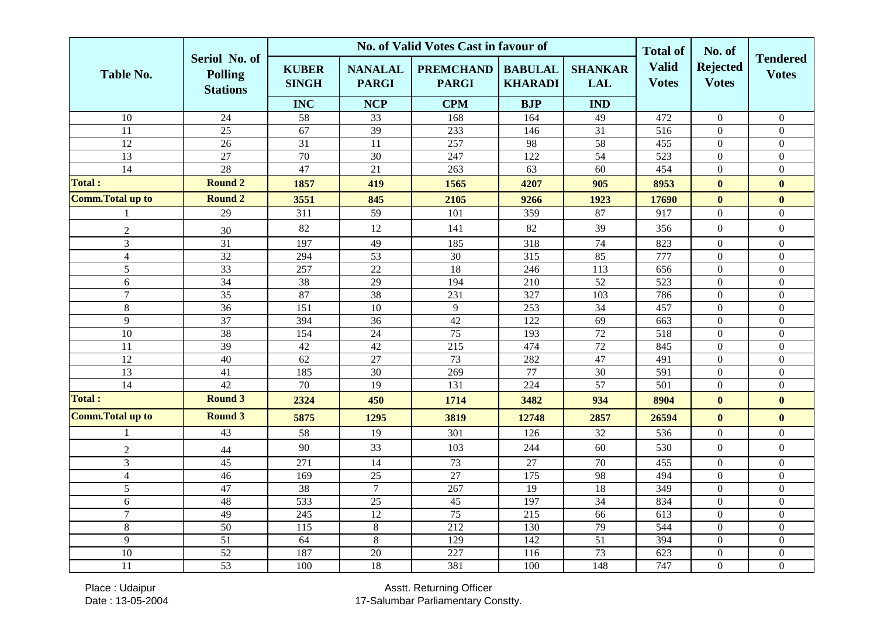|                          |                                                    |                              | No. of Valid Votes Cast in favour of | <b>Total of</b>                  | No. of                           |                              |                              |                                 |                                 |
|--------------------------|----------------------------------------------------|------------------------------|--------------------------------------|----------------------------------|----------------------------------|------------------------------|------------------------------|---------------------------------|---------------------------------|
| <b>Table No.</b>         | Seriol No. of<br><b>Polling</b><br><b>Stations</b> | <b>KUBER</b><br><b>SINGH</b> | <b>NANALAL</b><br><b>PARGI</b>       | <b>PREMCHAND</b><br><b>PARGI</b> | <b>BABULAL</b><br><b>KHARADI</b> | <b>SHANKAR</b><br><b>LAL</b> | <b>Valid</b><br><b>Votes</b> | <b>Rejected</b><br><b>Votes</b> | <b>Tendered</b><br><b>Votes</b> |
|                          |                                                    | <b>INC</b>                   | <b>NCP</b>                           | <b>CPM</b>                       | <b>BJP</b>                       | <b>IND</b>                   |                              |                                 |                                 |
| 10                       | 24                                                 | 58                           | 33                                   | 168                              | 164                              | 49                           | 472                          | $\overline{0}$                  | $\theta$                        |
| $\overline{11}$          | 25                                                 | 67                           | $\overline{39}$                      | 233                              | 146                              | 31                           | 516                          | $\mathbf{0}$                    | $\mathbf{0}$                    |
| 12                       | 26                                                 | $\overline{31}$              | $\overline{11}$                      | 257                              | 98                               | 58                           | 455                          | $\mathbf{0}$                    | $\overline{0}$                  |
| 13                       | $\overline{27}$                                    | 70                           | 30                                   | 247                              | 122                              | 54                           | 523                          | $\mathbf{0}$                    | $\overline{0}$                  |
| $\overline{14}$          | $\overline{28}$                                    | 47                           | 21                                   | 263                              | 63                               | 60                           | 454                          | $\mathbf{0}$                    | $\overline{0}$                  |
| <b>Total:</b>            | <b>Round 2</b>                                     | 1857                         | 419                                  | 1565                             | 4207                             | 905                          | 8953                         | $\bf{0}$                        | $\bf{0}$                        |
| <b>Comm. Total up to</b> | <b>Round 2</b>                                     | 3551                         | 845                                  | 2105                             | 9266                             | 1923                         | 17690                        | $\bf{0}$                        | $\bf{0}$                        |
|                          | 29                                                 | 311                          | 59                                   | 101                              | 359                              | 87                           | 917                          | $\boldsymbol{0}$                | $\overline{0}$                  |
| $\overline{2}$           | 30                                                 | 82                           | 12                                   | 141                              | 82                               | 39                           | 356                          | $\mathbf{0}$                    | $\boldsymbol{0}$                |
| $\overline{3}$           | $\overline{31}$                                    | 197                          | 49                                   | 185                              | 318                              | 74                           | 823                          | $\mathbf{0}$                    | $\overline{0}$                  |
| $\overline{4}$           | $\overline{32}$                                    | 294                          | $\overline{53}$                      | $\overline{30}$                  | $\overline{315}$                 | 85                           | 777                          | $\overline{0}$                  | $\overline{0}$                  |
| 5                        | $\overline{33}$                                    | 257                          | $\overline{22}$                      | 18                               | 246                              | 113                          | 656                          | $\mathbf{0}$                    | $\overline{0}$                  |
| 6                        | 34                                                 | 38                           | 29                                   | 194                              | 210                              | 52                           | 523                          | $\mathbf{0}$                    | $\mathbf{0}$                    |
| $\overline{7}$           | $\overline{35}$                                    | 87                           | 38                                   | 231                              | 327                              | 103                          | 786                          | $\mathbf{0}$                    | $\overline{0}$                  |
| 8                        | $\overline{36}$                                    | 151                          | $\overline{10}$                      | 9                                | 253                              | $\overline{34}$              | 457                          | $\Omega$                        | $\Omega$                        |
| 9                        | 37                                                 | 394                          | 36                                   | 42                               | 122                              | 69                           | 663                          | $\overline{0}$                  | $\overline{0}$                  |
| 10                       | $\overline{38}$                                    | 154                          | $24\,$                               | $\overline{75}$                  | 193                              | 72                           | $\overline{518}$             | $\mathbf{0}$                    | $\overline{0}$                  |
| 11                       | $\overline{39}$                                    | $\overline{42}$              | 42                                   | 215                              | 474                              | $\overline{72}$              | 845                          | $\mathbf{0}$                    | $\overline{0}$                  |
| 12                       | 40                                                 | 62                           | 27                                   | 73                               | 282                              | 47                           | 491                          | $\overline{0}$                  | $\overline{0}$                  |
| $\overline{13}$          | $\overline{41}$                                    | 185                          | $\overline{30}$                      | 269                              | $\overline{77}$                  | $\overline{30}$              | 591                          | $\mathbf{0}$                    | $\overline{0}$                  |
| $\overline{14}$          | 42                                                 | 70                           | $\overline{19}$                      | 131                              | $\overline{224}$                 | $\overline{57}$              | $\overline{501}$             | $\overline{0}$                  | $\overline{0}$                  |
| <b>Total:</b>            | <b>Round 3</b>                                     | 2324                         | 450                                  | 1714                             | 3482                             | 934                          | 8904                         | $\bf{0}$                        | $\bf{0}$                        |
| <b>Comm. Total up to</b> | <b>Round 3</b>                                     | 5875                         | 1295                                 | 3819                             | 12748                            | 2857                         | 26594                        | $\mathbf{0}$                    | $\bf{0}$                        |
|                          | 43                                                 | 58                           | 19                                   | 301                              | 126                              | 32                           | 536                          | $\overline{0}$                  | $\overline{0}$                  |
| $\overline{2}$           | 44                                                 | 90                           | 33                                   | 103                              | 244                              | 60                           | 530                          | $\Omega$                        | $\overline{0}$                  |
| 3                        | $\overline{45}$                                    | $\overline{271}$             | $\overline{14}$                      | 73                               | 27                               | 70                           | 455                          | $\mathbf{0}$                    | $\overline{0}$                  |
| $\overline{4}$           | 46                                                 | 169                          | 25                                   | $\overline{27}$                  | 175                              | 98                           | 494                          | $\mathbf{0}$                    | $\overline{0}$                  |
| 5                        | 47                                                 | $\overline{38}$              | $\overline{7}$                       | 267                              | $\overline{19}$                  | 18                           | 349                          | $\mathbf{0}$                    | $\mathbf{0}$                    |
| 6                        | 48                                                 | 533                          | $\overline{25}$                      | 45                               | 197                              | $\overline{34}$              | 834                          | $\overline{0}$                  | $\overline{0}$                  |
| $\overline{7}$           | 49                                                 | 245                          | 12                                   | 75                               | 215                              | 66                           | 613                          | $\mathbf{0}$                    | $\Omega$                        |
| 8                        | 50                                                 | 115                          | $\,8\,$                              | 212                              | 130                              | 79                           | 544                          | $\mathbf{0}$                    | $\overline{0}$                  |
| 9                        | $\overline{51}$                                    | 64                           | $\overline{8}$                       | 129                              | 142                              | $\overline{51}$              | 394                          | $\overline{0}$                  | $\overline{0}$                  |
| 10                       | 52                                                 | 187                          | 20                                   | 227                              | 116                              | 73                           | 623                          | $\boldsymbol{0}$                | $\boldsymbol{0}$                |
| 11                       | $\overline{53}$                                    | 100                          | $\overline{18}$                      | 381                              | 100                              | 148                          | 747                          | $\overline{0}$                  | $\overline{0}$                  |

Place : Udaipur Date : 13-05-2004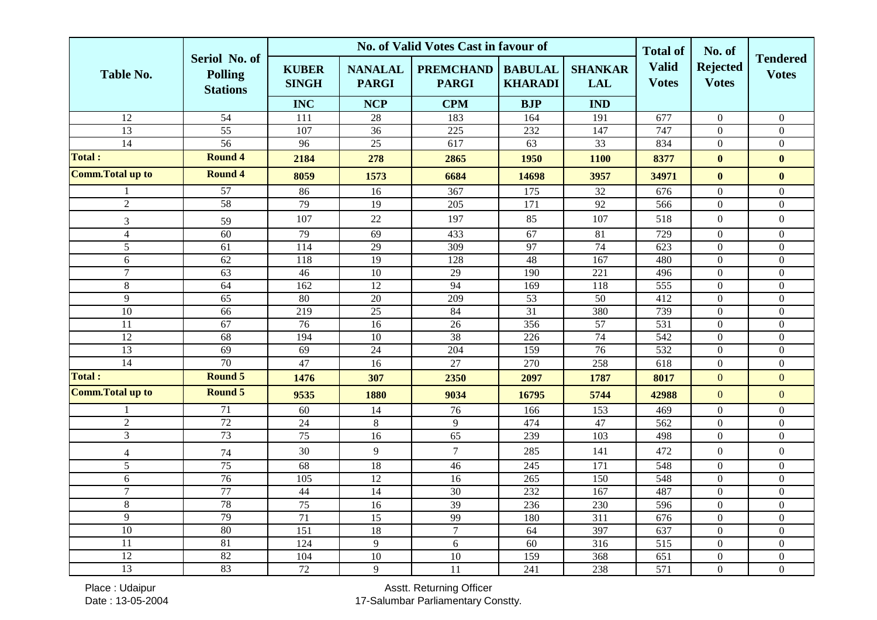|                          |                                                    |                              | No. of Valid Votes Cast in favour of | <b>Total of</b>                  | No. of                           |                              |                              |                                 |                                 |
|--------------------------|----------------------------------------------------|------------------------------|--------------------------------------|----------------------------------|----------------------------------|------------------------------|------------------------------|---------------------------------|---------------------------------|
| Table No.                | Seriol No. of<br><b>Polling</b><br><b>Stations</b> | <b>KUBER</b><br><b>SINGH</b> | <b>NANALAL</b><br><b>PARGI</b>       | <b>PREMCHAND</b><br><b>PARGI</b> | <b>BABULAL</b><br><b>KHARADI</b> | <b>SHANKAR</b><br><b>LAL</b> | <b>Valid</b><br><b>Votes</b> | <b>Rejected</b><br><b>Votes</b> | <b>Tendered</b><br><b>Votes</b> |
|                          |                                                    | <b>INC</b>                   | <b>NCP</b>                           | <b>CPM</b>                       | <b>BJP</b>                       | <b>IND</b>                   |                              |                                 |                                 |
| $\overline{12}$          | $\overline{54}$                                    | 111                          | $28\,$                               | 183                              | 164                              | 191                          | 677                          | $\overline{0}$                  | $\mathbf{0}$                    |
| 13                       | 55                                                 | 107                          | $\overline{36}$                      | 225                              | 232                              | 147                          | 747                          | $\mathbf{0}$                    | $\overline{0}$                  |
| 14                       | 56                                                 | $\overline{96}$              | $\overline{25}$                      | 617                              | $\overline{63}$                  | $\overline{33}$              | 834                          | $\mathbf{0}$                    | $\overline{0}$                  |
| <b>Total:</b>            | <b>Round 4</b>                                     | 2184                         | 278                                  | 2865                             | 1950                             | 1100                         | 8377                         | $\bf{0}$                        | $\bf{0}$                        |
| <b>Comm. Total up to</b> | <b>Round 4</b>                                     | 8059                         | 1573                                 | 6684                             | 14698                            | 3957                         | 34971                        | $\mathbf{0}$                    | $\bf{0}$                        |
|                          | 57                                                 | 86                           | 16                                   | 367                              | 175                              | 32                           | 676                          | $\mathbf{0}$                    | $\overline{0}$                  |
| $\overline{2}$           | 58                                                 | 79                           | 19                                   | 205                              | 171                              | 92                           | 566                          | $\mathbf{0}$                    | $\overline{0}$                  |
| $\overline{3}$           | 59                                                 | 107                          | 22                                   | 197                              | 85                               | 107                          | 518                          | $\theta$                        | $\overline{0}$                  |
| $\overline{4}$           | 60                                                 | 79                           | 69                                   | 433                              | 67                               | 81                           | 729                          | $\overline{0}$                  | $\overline{0}$                  |
| 5                        | 61                                                 | 114                          | 29                                   | 309                              | 97                               | 74                           | 623                          | $\mathbf{0}$                    | $\Omega$                        |
| 6                        | 62                                                 | 118                          | 19                                   | 128                              | 48                               | 167                          | 480                          | $\mathbf{0}$                    | $\overline{0}$                  |
| $\overline{7}$           | $\overline{63}$                                    | 46                           | $\overline{10}$                      | 29                               | 190                              | 221                          | 496                          | $\mathbf{0}$                    | $\overline{0}$                  |
| $8\,$                    | 64                                                 | 162                          | 12                                   | 94                               | 169                              | 118                          | 555                          | $\mathbf{0}$                    | $\overline{0}$                  |
| 9                        | 65                                                 | 80                           | $\overline{20}$                      | 209                              | $\overline{53}$                  | $\overline{50}$              | $\overline{412}$             | $\mathbf{0}$                    | $\overline{0}$                  |
| 10                       | 66                                                 | 219                          | $\overline{25}$                      | 84                               | $\overline{31}$                  | 380                          | 739                          | $\mathbf{0}$                    | $\mathbf{0}$                    |
| 11                       | $\overline{67}$                                    | $\overline{76}$              | 16                                   | $\overline{26}$                  | $\overline{356}$                 | $\overline{57}$              | $\overline{531}$             | $\mathbf{0}$                    | $\mathbf{0}$                    |
| $\overline{12}$          | $\overline{68}$                                    | 194                          | $\overline{10}$                      | 38                               | $\overline{226}$                 | 74                           | $\overline{542}$             | $\mathbf{0}$                    | $\overline{0}$                  |
| $\overline{13}$          | $\overline{69}$                                    | 69                           | 24                                   | 204                              | 159                              | 76                           | $\overline{532}$             | $\mathbf{0}$                    | $\overline{0}$                  |
| $\overline{14}$          | 70                                                 | 47                           | 16                                   | 27                               | 270                              | 258                          | 618                          | $\mathbf{0}$                    | $\overline{0}$                  |
| <b>Total:</b>            | Round 5                                            | 1476                         | 307                                  | 2350                             | 2097                             | 1787                         | 8017                         | $\overline{0}$                  | $\overline{0}$                  |
| <b>Comm. Total up to</b> | <b>Round 5</b>                                     | 9535                         | 1880                                 | 9034                             | 16795                            | 5744                         | 42988                        | $\overline{0}$                  | $\mathbf{0}$                    |
|                          | $\overline{71}$                                    | 60                           | 14                                   | 76                               | 166                              | 153                          | 469                          | $\mathbf{0}$                    | $\overline{0}$                  |
| $\overline{2}$           | 72                                                 | 24                           | $8\,$                                | 9                                | 474                              | 47                           | 562                          | $\mathbf{0}$                    | $\overline{0}$                  |
| $\overline{3}$           | 73                                                 | $\overline{75}$              | 16                                   | 65                               | 239                              | 103                          | 498                          | $\overline{0}$                  | $\overline{0}$                  |
| $\overline{4}$           | 74                                                 | 30                           | 9                                    | $\tau$                           | 285                              | 141                          | 472                          | $\theta$                        | $\overline{0}$                  |
| 5                        | 75                                                 | 68                           | 18                                   | 46                               | 245                              | 171                          | 548                          | $\overline{0}$                  | $\overline{0}$                  |
| 6                        | 76                                                 | 105                          | 12                                   | 16                               | 265                              | 150                          | 548                          | $\overline{0}$                  | $\Omega$                        |
| $\overline{7}$           | 77                                                 | 44                           | 14                                   | $\overline{30}$                  | 232                              | 167                          | 487                          | $\mathbf{0}$                    | $\overline{0}$                  |
| 8                        | 78                                                 | 75                           | $\overline{16}$                      | $\overline{39}$                  | 236                              | 230                          | 596                          | $\mathbf{0}$                    | $\overline{0}$                  |
| 9                        | 79                                                 | $\overline{71}$              | 15                                   | 99                               | 180                              | $\overline{311}$             | 676                          | $\mathbf{0}$                    | $\overline{0}$                  |
| $\overline{10}$          | 80                                                 | 151                          | $\overline{18}$                      | $\overline{7}$                   | $\overline{64}$                  | 397                          | 637                          | $\mathbf{0}$                    | $\overline{0}$                  |
| 11                       | 81                                                 | 124                          | $\overline{9}$                       | $6\,$                            | 60                               | 316                          | 515                          | $\mathbf{0}$                    | $\mathbf{0}$                    |
| $\overline{12}$          | 82                                                 | 104                          | $\overline{10}$                      | $\overline{10}$                  | 159                              | 368                          | 651                          | $\boldsymbol{0}$                | $\overline{0}$                  |
| $\overline{13}$          | 83                                                 | $\overline{72}$              | 9                                    | 11                               | 241                              | 238                          | $\overline{571}$             | $\overline{0}$                  | $\overline{0}$                  |

Place : Udaipur Date : 13-05-2004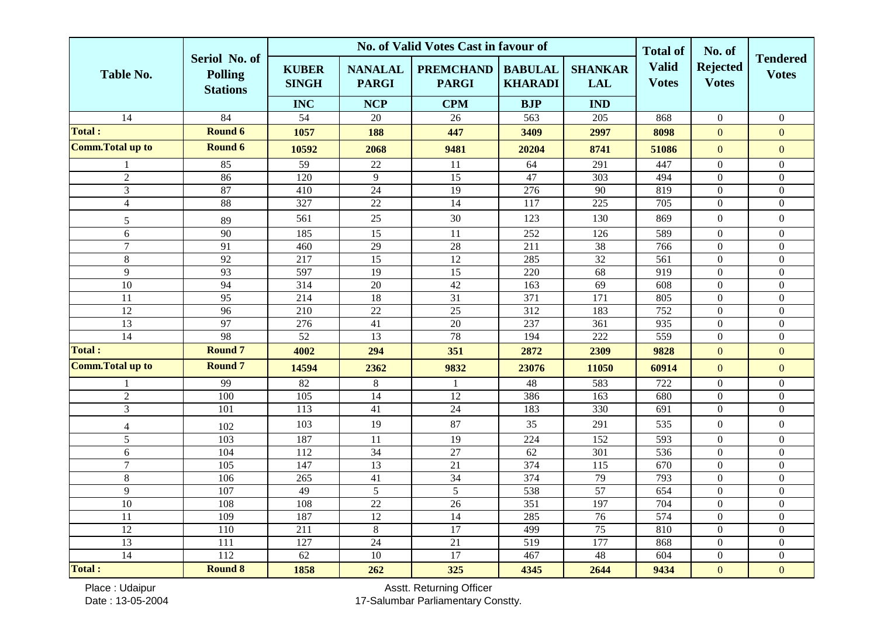|                          |                                                    | No. of Valid Votes Cast in favour of |                                |                                  |                                  |                              |                                                 | No. of                          |                                 |
|--------------------------|----------------------------------------------------|--------------------------------------|--------------------------------|----------------------------------|----------------------------------|------------------------------|-------------------------------------------------|---------------------------------|---------------------------------|
| <b>Table No.</b>         | Seriol No. of<br><b>Polling</b><br><b>Stations</b> | <b>KUBER</b><br><b>SINGH</b>         | <b>NANALAL</b><br><b>PARGI</b> | <b>PREMCHAND</b><br><b>PARGI</b> | <b>BABULAL</b><br><b>KHARADI</b> | <b>SHANKAR</b><br><b>LAL</b> | <b>Total of</b><br><b>Valid</b><br><b>Votes</b> | <b>Rejected</b><br><b>Votes</b> | <b>Tendered</b><br><b>Votes</b> |
|                          |                                                    | <b>INC</b>                           | <b>NCP</b>                     | <b>CPM</b>                       | <b>BJP</b>                       | <b>IND</b>                   |                                                 |                                 |                                 |
| 14                       | $\overline{84}$                                    | 54                                   | 20                             | 26                               | 563                              | 205                          | 868                                             | $\boldsymbol{0}$                | $\boldsymbol{0}$                |
| <b>Total:</b>            | Round 6                                            | 1057                                 | 188                            | 447                              | 3409                             | 2997                         | 8098                                            | $\mathbf{0}$                    | $\mathbf{0}$                    |
| <b>Comm. Total up to</b> | Round 6                                            | 10592                                | 2068                           | 9481                             | 20204                            | 8741                         | 51086                                           | $\mathbf{0}$                    | $\mathbf{0}$                    |
|                          | 85                                                 | 59                                   | 22                             | 11                               | 64                               | 291                          | 447                                             | $\mathbf{0}$                    | $\mathbf{0}$                    |
| $\overline{2}$           | 86                                                 | 120                                  | 9                              | 15                               | 47                               | 303                          | 494                                             | $\mathbf{0}$                    | $\mathbf{0}$                    |
| 3                        | 87                                                 | 410                                  | 24                             | 19                               | 276                              | 90                           | 819                                             | $\boldsymbol{0}$                | $\boldsymbol{0}$                |
| $\overline{4}$           | 88                                                 | 327                                  | $\overline{22}$                | $\overline{14}$                  | 117                              | $\overline{225}$             | 705                                             | $\mathbf{0}$                    | $\mathbf{0}$                    |
| 5                        | 89                                                 | 561                                  | 25                             | 30                               | 123                              | 130                          | 869                                             | $\Omega$                        | $\boldsymbol{0}$                |
| 6                        | 90                                                 | 185                                  | 15                             | 11                               | 252                              | 126                          | 589                                             | $\overline{0}$                  | $\mathbf{0}$                    |
| $\overline{7}$           | $\overline{91}$                                    | 460                                  | 29                             | 28                               | 211                              | 38                           | 766                                             | $\Omega$                        | $\Omega$                        |
| 8                        | $\overline{92}$                                    | 217                                  | $\overline{15}$                | $\overline{12}$                  | 285                              | $\overline{32}$              | 561                                             | $\mathbf{0}$                    | $\mathbf{0}$                    |
| $\overline{9}$           | 93                                                 | 597                                  | 19                             | 15                               | 220                              | 68                           | 919                                             | $\overline{0}$                  | $\overline{0}$                  |
| $\overline{10}$          | $\overline{94}$                                    | $\overline{314}$                     | $\overline{20}$                | $\overline{42}$                  | 163                              | 69                           | 608                                             | $\mathbf{0}$                    | $\mathbf{0}$                    |
| 11                       | 95                                                 | 214                                  | 18                             | 31                               | 371                              | 171                          | 805                                             | $\boldsymbol{0}$                | $\boldsymbol{0}$                |
| $\overline{12}$          | $\overline{96}$                                    | $\overline{210}$                     | $\overline{22}$                | $\overline{25}$                  | $\overline{312}$                 | 183                          | 752                                             | $\overline{0}$                  | $\mathbf{0}$                    |
| 13                       | 97                                                 | 276                                  | 41                             | 20                               | 237                              | 361                          | 935                                             | $\mathbf{0}$                    | $\boldsymbol{0}$                |
| 14                       | 98                                                 | $\overline{52}$                      | 13                             | 78                               | 194                              | 222                          | 559                                             | $\overline{0}$                  | $\mathbf{0}$                    |
| <b>Total:</b>            | <b>Round 7</b>                                     | 4002                                 | 294                            | 351                              | 2872                             | 2309                         | 9828                                            | $\mathbf{0}$                    | $\mathbf{0}$                    |
| <b>Comm. Total up to</b> | Round <sub>7</sub>                                 | 14594                                | 2362                           | 9832                             | 23076                            | 11050                        | 60914                                           | $\mathbf{0}$                    | $\mathbf{0}$                    |
|                          | 99                                                 | 82                                   | 8                              | -1                               | 48                               | 583                          | 722                                             | $\mathbf{0}$                    | $\mathbf{0}$                    |
| $\sqrt{2}$               | 100                                                | $\overline{105}$                     | $\overline{14}$                | $\overline{12}$                  | 386                              | $\overline{163}$             | 680                                             | $\overline{0}$                  | $\overline{0}$                  |
| 3                        | 101                                                | 113                                  | 41                             | 24                               | 183                              | 330                          | 691                                             | $\mathbf{0}$                    | $\mathbf{0}$                    |
| $\overline{4}$           | 102                                                | 103                                  | 19                             | 87                               | 35                               | 291                          | 535                                             | $\mathbf{0}$                    | $\mathbf{0}$                    |
| 5                        | 103                                                | 187                                  | 11                             | $\overline{19}$                  | 224                              | 152                          | 593                                             | $\overline{0}$                  | $\boldsymbol{0}$                |
| 6                        | 104                                                | 112                                  | 34                             | $\overline{27}$                  | 62                               | 301                          | 536                                             | $\mathbf{0}$                    | $\mathbf{0}$                    |
| $\tau$                   | 105                                                | 147                                  | 13                             | 21                               | 374                              | 115                          | 670                                             | $\mathbf{0}$                    | $\boldsymbol{0}$                |
| 8                        | 106                                                | $\overline{265}$                     | $\overline{41}$                | $\overline{34}$                  | 374                              | 79                           | 793                                             | $\mathbf{0}$                    | $\overline{0}$                  |
| 9                        | 107                                                | $\overline{49}$                      | 5                              | 5                                | 538                              | 57                           | 654                                             | $\overline{0}$                  | $\mathbf{0}$                    |
| $\overline{10}$          | 108                                                | 108                                  | $\overline{22}$                | 26                               | $\overline{351}$                 | 197                          | 704                                             | $\Omega$                        | $\Omega$                        |
| 11                       | 109                                                | 187                                  | 12                             | 14                               | 285                              | 76                           | 574                                             | $\boldsymbol{0}$                | $\mathbf{0}$                    |
| $\overline{12}$          | 110                                                | 211                                  | $\overline{8}$                 | 17                               | 499                              | $\overline{75}$              | 810                                             | $\boldsymbol{0}$                | $\boldsymbol{0}$                |
| $\overline{13}$          | 111                                                | $\overline{127}$                     | 24                             | $\overline{21}$                  | $\overline{519}$                 | 177                          | 868                                             | $\mathbf{0}$                    | $\mathbf{0}$                    |
| $\overline{14}$          | 112                                                | $\overline{62}$                      | $\overline{10}$                | 17                               | 467                              | 48                           | 604                                             | $\boldsymbol{0}$                | $\boldsymbol{0}$                |
| <b>Total:</b>            | <b>Round 8</b>                                     | 1858                                 | 262                            | 325                              | 4345                             | 2644                         | 9434                                            | $\mathbf{0}$                    | $\mathbf{0}$                    |

Place : Udaipur Date : 13-05-2004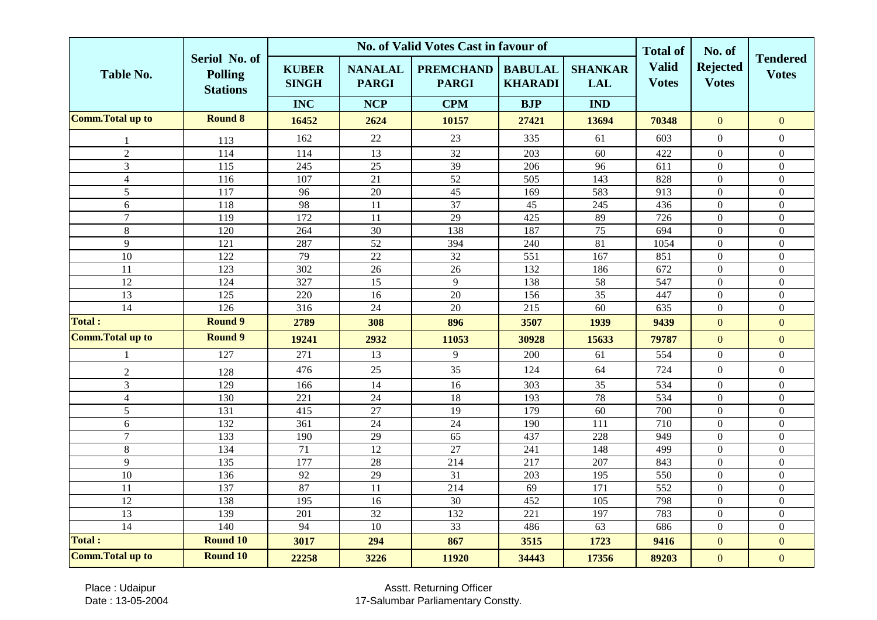|                          |                                                    |                              | <b>No. of Valid Votes Cast in favour of</b> | <b>Total of</b>                  | No. of                           |                              |                              |                                 |                                 |
|--------------------------|----------------------------------------------------|------------------------------|---------------------------------------------|----------------------------------|----------------------------------|------------------------------|------------------------------|---------------------------------|---------------------------------|
| <b>Table No.</b>         | Seriol No. of<br><b>Polling</b><br><b>Stations</b> | <b>KUBER</b><br><b>SINGH</b> | <b>NANALAL</b><br><b>PARGI</b>              | <b>PREMCHAND</b><br><b>PARGI</b> | <b>BABULAL</b><br><b>KHARADI</b> | <b>SHANKAR</b><br><b>LAL</b> | <b>Valid</b><br><b>Votes</b> | <b>Rejected</b><br><b>Votes</b> | <b>Tendered</b><br><b>Votes</b> |
|                          |                                                    | <b>INC</b>                   | <b>NCP</b>                                  | <b>CPM</b>                       | <b>BJP</b>                       | <b>IND</b>                   |                              |                                 |                                 |
| <b>Comm. Total up to</b> | <b>Round 8</b>                                     | 16452                        | 2624                                        | 10157                            | 27421                            | 13694                        | 70348                        | $\mathbf{0}$                    | $\mathbf{0}$                    |
|                          | 113                                                | 162                          | 22                                          | 23                               | 335                              | 61                           | 603                          | $\boldsymbol{0}$                | $\boldsymbol{0}$                |
| $\overline{2}$           | 114                                                | 114                          | 13                                          | 32                               | 203                              | 60                           | 422                          | $\overline{0}$                  | $\Omega$                        |
| 3                        | 115                                                | 245                          | $25\,$                                      | 39                               | 206                              | 96                           | 611                          | $\overline{0}$                  | $\overline{0}$                  |
| $\overline{4}$           | 116                                                | 107                          | 21                                          | 52                               | 505                              | 143                          | 828                          | $\overline{0}$                  | $\overline{0}$                  |
| $\overline{5}$           | $\overline{117}$                                   | 96                           | $\overline{20}$                             | $\overline{45}$                  | 169                              | 583                          | 913                          | $\overline{0}$                  | $\Omega$                        |
| 6                        | $\overline{118}$                                   | $\overline{98}$              | 11                                          | $\overline{37}$                  | 45                               | 245                          | 436                          | $\mathbf{0}$                    | $\overline{0}$                  |
| 7                        | 119                                                | 172                          | 11                                          | 29                               | 425                              | 89                           | 726                          | $\overline{0}$                  | $\overline{0}$                  |
| 8                        | 120                                                | 264                          | 30                                          | 138                              | 187                              | $\overline{75}$              | 694                          | $\overline{0}$                  | $\overline{0}$                  |
| 9                        | $\overline{121}$                                   | 287                          | $\overline{52}$                             | 394                              | 240                              | 81                           | 1054                         | $\overline{0}$                  | $\overline{0}$                  |
| $\overline{10}$          | $\overline{122}$                                   | 79                           | $\overline{22}$                             | $\overline{32}$                  | $\overline{551}$                 | 167                          | 851                          | $\overline{0}$                  | $\overline{0}$                  |
| 11                       | $\overline{123}$                                   | 302                          | $\overline{26}$                             | $\overline{26}$                  | 132                              | 186                          | $\overline{672}$             | $\Omega$                        | $\overline{0}$                  |
| $\overline{12}$          | $\overline{124}$                                   | 327                          | $\overline{15}$                             | $\overline{9}$                   | 138                              | $\overline{58}$              | 547                          | $\overline{0}$                  | $\Omega$                        |
| 13                       | $\overline{125}$                                   | $\overline{220}$             | 16                                          | 20                               | 156                              | $\overline{35}$              | 447                          | $\overline{0}$                  | $\overline{0}$                  |
| $\overline{14}$          | $\overline{126}$                                   | 316                          | 24                                          | 20                               | $\overline{215}$                 | 60                           | 635                          | $\overline{0}$                  | $\overline{0}$                  |
| <b>Total:</b>            | <b>Round 9</b>                                     | 2789                         | 308                                         | 896                              | 3507                             | 1939                         | 9439                         | $\overline{0}$                  | $\boldsymbol{0}$                |
| <b>Comm. Total up to</b> | <b>Round 9</b>                                     | 19241                        | 2932                                        | 11053                            | 30928                            | 15633                        | 79787                        | $\overline{0}$                  | $\overline{0}$                  |
|                          | 127                                                | 271                          | 13                                          | 9                                | 200                              | 61                           | 554                          | $\boldsymbol{0}$                | $\overline{0}$                  |
| $\overline{2}$           | 128                                                | 476                          | 25                                          | 35                               | 124                              | 64                           | 724                          | $\overline{0}$                  | $\overline{0}$                  |
| $\overline{3}$           | 129                                                | 166                          | $\overline{14}$                             | $\overline{16}$                  | 303                              | 35                           | 534                          | $\overline{0}$                  | $\mathbf{0}$                    |
| $\overline{4}$           | 130                                                | $\overline{221}$             | $\overline{24}$                             | 18                               | 193                              | 78                           | 534                          | $\boldsymbol{0}$                | $\mathbf{0}$                    |
| $\overline{5}$           | 131                                                | $\overline{415}$             | $\overline{27}$                             | $\overline{19}$                  | 179                              | $\overline{60}$              | 700                          | $\overline{0}$                  | $\mathbf{0}$                    |
| 6                        | 132                                                | 361                          | 24                                          | 24                               | 190                              | 111                          | 710                          | $\overline{0}$                  | $\overline{0}$                  |
| 7                        | 133                                                | 190                          | $\overline{29}$                             | 65                               | 437                              | 228                          | 949                          | $\boldsymbol{0}$                | $\mathbf{0}$                    |
| 8                        | 134                                                | 71                           | 12                                          | $\overline{27}$                  | 241                              | 148                          | 499                          | $\overline{0}$                  | $\mathbf{0}$                    |
| 9                        | $\overline{135}$                                   | 177                          | 28                                          | 214                              | 217                              | 207                          | 843                          | $\overline{0}$                  | $\overline{0}$                  |
| 10                       | 136                                                | 92                           | 29                                          | $\overline{31}$                  | 203                              | 195                          | 550                          | $\overline{0}$                  | $\overline{0}$                  |
| 11                       | 137                                                | 87                           | 11                                          | 214                              | 69                               | 171                          | 552                          | $\overline{0}$                  | $\overline{0}$                  |
| $\overline{12}$          | 138                                                | 195                          | 16                                          | $\overline{30}$                  | 452                              | 105                          | 798                          | $\boldsymbol{0}$                | $\overline{0}$                  |
| 13                       | 139                                                | 201                          | $\overline{32}$                             | 132                              | 221                              | 197                          | 783                          | $\overline{0}$                  | $\mathbf{0}$                    |
| $\overline{14}$          | 140                                                | 94                           | $\overline{10}$                             | $\overline{33}$                  | 486                              | 63                           | 686                          | $\overline{0}$                  | $\boldsymbol{0}$                |
| <b>Total:</b>            | <b>Round 10</b>                                    | 3017                         | 294                                         | 867                              | 3515                             | 1723                         | 9416                         | $\mathbf{0}$                    | $\mathbf{0}$                    |
| <b>Comm. Total up to</b> | <b>Round 10</b>                                    | 22258                        | 3226                                        | 11920                            | 34443                            | 17356                        | 89203                        | $\overline{0}$                  | $\overline{0}$                  |